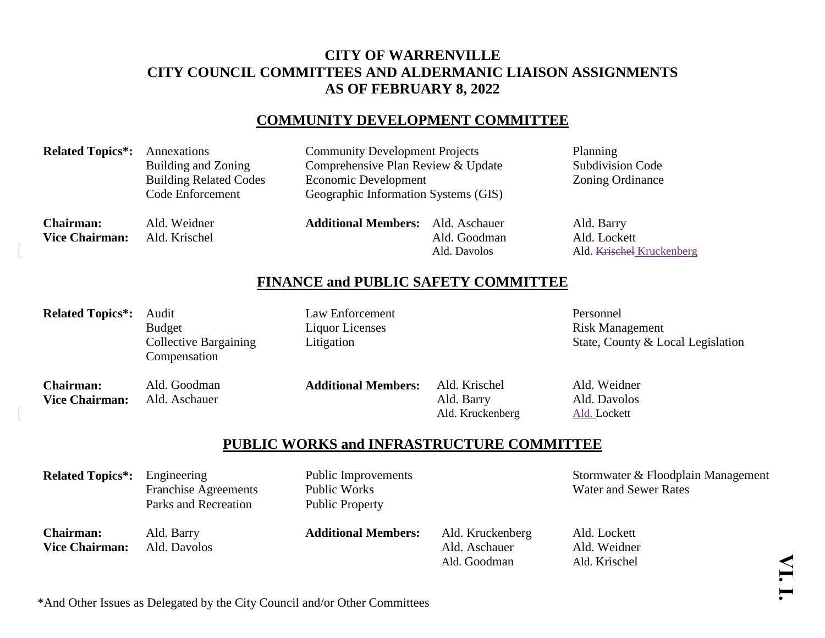## **CITY OF WARRENVILLE CITY COUNCIL COMMITTEES AND ALDERMANIC LIAISON ASSIGNMENTS AS OF FEBRUARY 8, 2022**

### **COMMUNITY DEVELOPMENT COMMITTEE**

**Related Topics\*:** Annexations Community Development Projects Planning Building and Zoning Comprehensive Plan Review & Update Subdivision Code Building Related Codes Economic Development Zoning Ordinance Code Enforcement Geographic Information Systems (GIS)

**Chairman:** Ald. Weidner **Additional Members:** Ald. Aschauer Ald. Barry **Vice Chairman:** Ald. Krischel Ald. Ald. Goodman Ald. Goodman Ald. Lockett

Ald. Davolos Ald. Krischel Kruckenberg

## **FINANCE and PUBLIC SAFETY COMMITTEE**

Related Topics\*: Audit Law Enforcement Personnel Budget **Liquor Licenses** Communication Risk Management Collective Bargaining Litigation Litigation State, County & Local Legislation Compensation **Chairman:** Ald. Goodman **Additional Members:** Ald. Krischel Ald. Weidner **Vice Chairman:** Ald. Aschauer **Ald. Aschauer** Ald. Barry Ald. Barry Ald. Davolos Ald. Kruckenberg Ald. Lockett

### **PUBLIC WORKS and INFRASTRUCTURE COMMITTEE**

**Related Topics\*:** Engineering Public Improvements Stormwater & Floodplain Management<br>Franchise Agreements Public Works Water and Sewer Rates Franchise Agreements Public Works Parks and Recreation Public Property

**Chairman:** Ald. Barry **Additional Members:** Ald. Kruckenberg Ald. Lockett **Vice Chairman:** Ald. Davolos Ald. Aschauer Ald. Aschauer Ald. Weidner

Ald. Goodman Ald. Krischel